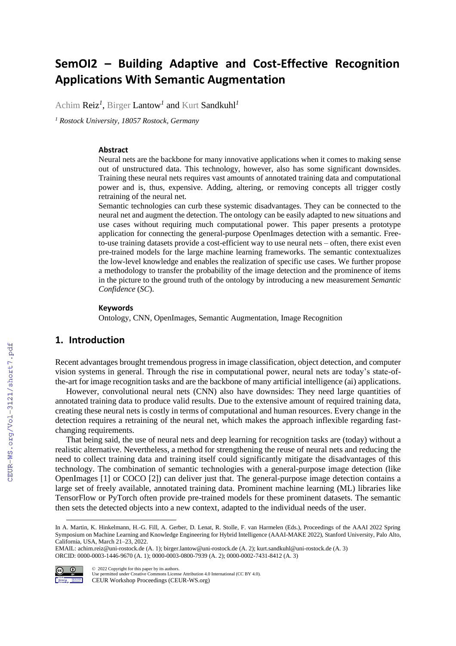# **SemOI2 – Building Adaptive and Cost-Effective Recognition Applications With Semantic Augmentation**

Achim Reiz*<sup>1</sup>* , Birger Lantow*<sup>1</sup>* and Kurt Sandkuhl*<sup>1</sup>*

*<sup>1</sup> Rostock University, 18057 Rostock, Germany* 

#### **Abstract**

Neural nets are the backbone for many innovative applications when it comes to making sense out of unstructured data. This technology, however, also has some significant downsides. Training these neural nets requires vast amounts of annotated training data and computational power and is, thus, expensive. Adding, altering, or removing concepts all trigger costly retraining of the neural net.

Semantic technologies can curb these systemic disadvantages. They can be connected to the neural net and augment the detection. The ontology can be easily adapted to new situations and use cases without requiring much computational power. This paper presents a prototype application for connecting the general-purpose OpenImages detection with a semantic. Freeto-use training datasets provide a cost-efficient way to use neural nets – often, there exist even pre-trained models for the large machine learning frameworks. The semantic contextualizes the low-level knowledge and enables the realization of specific use cases. We further propose a methodology to transfer the probability of the image detection and the prominence of items in the picture to the ground truth of the ontology by introducing a new measurement *Semantic Confidence* (*SC*).

#### **Keywords 1**

Ontology, CNN, OpenImages, Semantic Augmentation, Image Recognition

# **1. Introduction**

Recent advantages brought tremendous progress in image classification, object detection, and computer vision systems in general. Through the rise in computational power, neural nets are today's state-ofthe-art for image recognition tasks and are the backbone of many artificial intelligence (ai) applications.

However, convolutional neural nets (CNN) also have downsides: They need large quantities of annotated training data to produce valid results. Due to the extensive amount of required training data, creating these neural nets is costly in terms of computational and human resources. Every change in the detection requires a retraining of the neural net, which makes the approach inflexible regarding fastchanging requirements.

That being said, the use of neural nets and deep learning for recognition tasks are (today) without a realistic alternative. Nevertheless, a method for strengthening the reuse of neural nets and reducing the need to collect training data and training itself could significantly mitigate the disadvantages of this technology. The combination of semantic technologies with a general-purpose image detection (like OpenImages [1] or COCO [2]) can deliver just that. The general-purpose image detection contains a large set of freely available, annotated training data. Prominent machine learning (ML) libraries like TensorFlow or PyTorch often provide pre-trained models for these prominent datasets. The semantic then sets the detected objects into a new context, adapted to the individual needs of the user.

EMAIL: achim.reiz@uni-rostock.de (A. 1); birger.lantow@uni-rostock.de (A. 2); kurt.sandkuhl@uni-rostock.de (A. 3) ORCID: 0000-0003-1446-9670 (A. 1); 0000-0003-0800-7939 (A. 2); 0000-0002-7431-8412 (A. 3)



©️ 2022 Copyright for this paper by its authors. Use permitted under Creative Commons License Attribution 4.0 International (CC BY 4.0). CEUR Workshop Proceedings (CEUR-WS.org)

In A. Martin, K. Hinkelmann, H.-G. Fill, A. Gerber, D. Lenat, R. Stolle, F. van Harmelen (Eds.), Proceedings of the AAAI 2022 Spring Symposium on Machine Learning and Knowledge Engineering for Hybrid Intelligence (AAAI-MAKE 2022), Stanford University, Palo Alto, California, USA, March 21–23, 2022.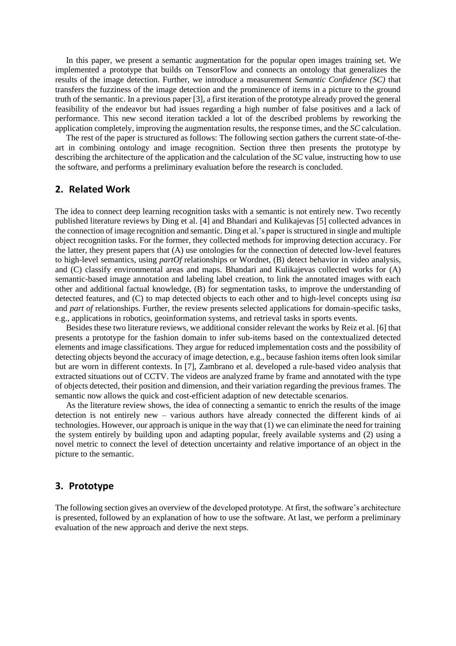In this paper, we present a semantic augmentation for the popular open images training set. We implemented a prototype that builds on TensorFlow and connects an ontology that generalizes the results of the image detection. Further, we introduce a measurement *Semantic Confidence (SC)* that transfers the fuzziness of the image detection and the prominence of items in a picture to the ground truth of the semantic. In a previous paper [3], a first iteration of the prototype already proved the general feasibility of the endeavor but had issues regarding a high number of false positives and a lack of performance. This new second iteration tackled a lot of the described problems by reworking the application completely, improving the augmentation results, the response times, and the *SC* calculation.

The rest of the paper is structured as follows: The following section gathers the current state-of-theart in combining ontology and image recognition. Section three then presents the prototype by describing the architecture of the application and the calculation of the *SC* value, instructing how to use the software, and performs a preliminary evaluation before the research is concluded.

### **2. Related Work**

The idea to connect deep learning recognition tasks with a semantic is not entirely new. Two recently published literature reviews by Ding et al. [4] and Bhandari and Kulikajevas [5] collected advances in the connection of image recognition and semantic. Ding et al.'s paper is structured in single and multiple object recognition tasks. For the former, they collected methods for improving detection accuracy. For the latter, they present papers that (A) use ontologies for the connection of detected low-level features to high-level semantics, using *partOf* relationships or Wordnet, (B) detect behavior in video analysis, and (C) classify environmental areas and maps. Bhandari and Kulikajevas collected works for (A) semantic-based image annotation and labeling label creation, to link the annotated images with each other and additional factual knowledge, (B) for segmentation tasks, to improve the understanding of detected features, and (C) to map detected objects to each other and to high-level concepts using *isa* and *part of* relationships. Further, the review presents selected applications for domain-specific tasks, e.g., applications in robotics, geoinformation systems, and retrieval tasks in sports events.

Besides these two literature reviews, we additional consider relevant the works by Reiz et al. [6] that presents a prototype for the fashion domain to infer sub-items based on the contextualized detected elements and image classifications. They argue for reduced implementation costs and the possibility of detecting objects beyond the accuracy of image detection, e.g., because fashion items often look similar but are worn in different contexts. In [7], Zambrano et al. developed a rule-based video analysis that extracted situations out of CCTV. The videos are analyzed frame by frame and annotated with the type of objects detected, their position and dimension, and their variation regarding the previous frames. The semantic now allows the quick and cost-efficient adaption of new detectable scenarios.

As the literature review shows, the idea of connecting a semantic to enrich the results of the image detection is not entirely new – various authors have already connected the different kinds of ai technologies. However, our approach is unique in the way that (1) we can eliminate the need for training the system entirely by building upon and adapting popular, freely available systems and (2) using a novel metric to connect the level of detection uncertainty and relative importance of an object in the picture to the semantic.

### **3. Prototype**

The following section gives an overview of the developed prototype. At first, the software's architecture is presented, followed by an explanation of how to use the software. At last, we perform a preliminary evaluation of the new approach and derive the next steps.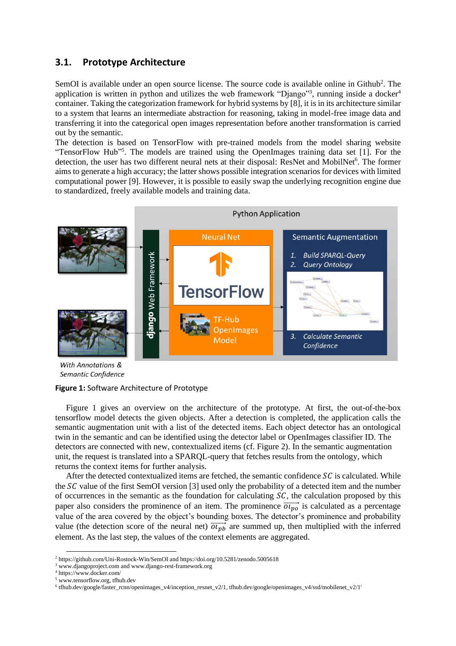### **3.1. Prototype Architecture**

SemOI is available under an open source license. The source code is available online in Github<sup>2</sup>. The application is written in python and utilizes the web framework "Django"<sup>3</sup>, running inside a docker<sup>4</sup> container. Taking the categorization framework for hybrid systems by [8], it is in its architecture similar to a system that learns an intermediate abstraction for reasoning, taking in model-free image data and transferring it into the categorical open images representation before another transformation is carried out by the semantic.

The detection is based on TensorFlow with pre-trained models from the model sharing website "TensorFlow Hub"<sup>5</sup>. The models are trained using the OpenImages training data set [1]. For the detection, the user has two different neural nets at their disposal: ResNet and MobilNet<sup>6</sup>. The former aims to generate a high accuracy; the latter shows possible integration scenarios for devices with limited computational power [9]. However, it is possible to easily swap the underlying recognition engine due to standardized, freely available models and training data.



With Annotations & Semantic Confidence

#### **Figure 1:** Software Architecture of Prototype

Figure 1 gives an overview on the architecture of the prototype. At first, the out-of-the-box tensorflow model detects the given objects. After a detection is completed, the application calls the semantic augmentation unit with a list of the detected items. Each object detector has an ontological twin in the semantic and can be identified using the detector label or OpenImages classifier ID. The detectors are connected with new, contextualized items (cf. Figure 2). In the semantic augmentation unit, the request is translated into a SPARQL-query that fetches results from the ontology, which returns the context items for further analysis.

After the detected contextualized items are fetched, the semantic confidence  $SC$  is calculated. While the  $SC$  value of the first SemOI version [3] used only the probability of a detected item and the number of occurrences in the semantic as the foundation for calculating  $SC$ , the calculation proposed by this paper also considers the prominence of an item. The prominence  $\overrightarrow{ot_{po}}$  is calculated as a percentage value of the area covered by the object's bounding boxes. The detector's prominence and probability value (the detection score of the neural net)  $\overrightarrow{ol_{pb}}$  are summed up, then multiplied with the inferred element. As the last step, the values of the context elements are aggregated.

<sup>2</sup> https://github.com/Uni-Rostock-Win/SemOI and https://doi.org/10.5281/zenodo.5005618

<sup>3</sup> www.djangoproject.com and www.django-rest-framework.org

<sup>4</sup> https://www.docker.com/

<sup>5</sup> www.tensorflow.org, tfhub.dev

<sup>6</sup> tfhub.dev/google/faster\_rcnn/openimages\_v4/inception\_resnet\_v2/1, tfhub.dev/google/openimages\_v4/ssd/mobilenet\_v2/1'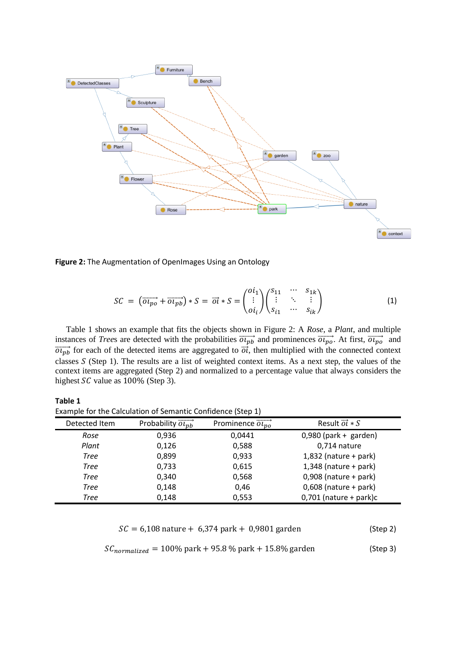

<span id="page-3-0"></span>**Figure 2:** The Augmentation of OpenImages Using an Ontology

$$
SC = (\overrightarrow{ou_{po}} + \overrightarrow{ou_{pb}}) * S = \overrightarrow{ol} * S = \begin{pmatrix} o_{i_1} \\ \vdots \\ o_{i_l} \end{pmatrix} \begin{pmatrix} s_{11} & \cdots & s_{1k} \\ \vdots & \ddots & \vdots \\ s_{i_1} & \cdots & s_{ik} \end{pmatrix}
$$
(1)

Table 1 shows an example that fits the objects shown in [Figure 2:](#page-3-0) A *Rose*, a *Plant*, and multiple instances of *Trees* are detected with the probabilities  $\overrightarrow{o_{lp}}$  and prominences  $\overrightarrow{o_{lp}}$ . At first,  $\overrightarrow{o_{lp}}$  and  $\overrightarrow{ou_{pb}}$  for each of the detected items are aggregated to  $\overrightarrow{ol}$ , then multiplied with the connected context classes (Step 1). The results are a list of weighted context items. As a next step, the values of the context items are aggregated (Step 2) and normalized to a percentage value that always considers the highest  $SC$  value as  $100\%$  (Step 3).

| Table 1                                                     |                                        |                                       |                                  |  |  |  |  |  |  |
|-------------------------------------------------------------|----------------------------------------|---------------------------------------|----------------------------------|--|--|--|--|--|--|
| Example for the Calculation of Semantic Confidence (Step 1) |                                        |                                       |                                  |  |  |  |  |  |  |
| Detected Item                                               | Probability $\overrightarrow{OL_{nh}}$ | Prominence $\overrightarrow{ou_{no}}$ | Result $\overrightarrow{oi} * S$ |  |  |  |  |  |  |
| Rose                                                        | 0,936                                  | 0,0441                                | $0,980$ (park + garden)          |  |  |  |  |  |  |
| Plant                                                       | 0,126                                  | 0,588                                 | 0,714 nature                     |  |  |  |  |  |  |
| Tree                                                        | 0,899                                  | 0,933                                 | $1,832$ (nature + park)          |  |  |  |  |  |  |
| Tree                                                        | 0,733                                  | 0,615                                 | $1,348$ (nature + park)          |  |  |  |  |  |  |
| Tree                                                        | 0,340                                  | 0,568                                 | $0,908$ (nature + park)          |  |  |  |  |  |  |
| Tree                                                        | 0,148                                  | 0,46                                  | $0,608$ (nature + park)          |  |  |  |  |  |  |
| Tree                                                        | 0,148                                  | 0,553                                 | $0,701$ (nature + park)c         |  |  |  |  |  |  |

$$
SC = 6,108
$$
 nature + 6,374 park + 0,9801 garden (Step 2)

$$
SC_{normalized} = 100\% \text{ park} + 95.8\% \text{ park} + 15.8\% \text{ garden}
$$
 (Step 3)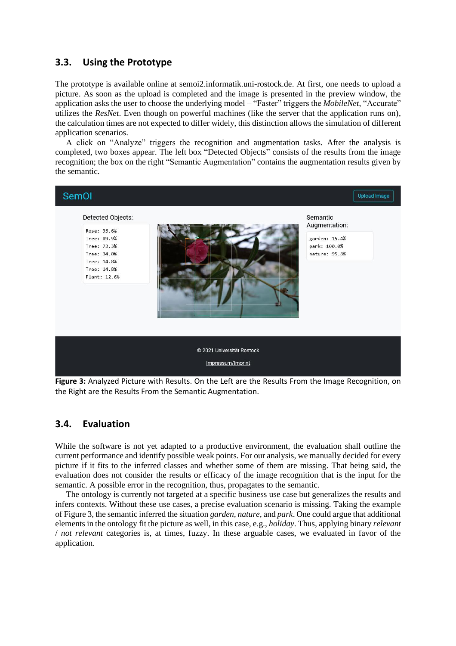# **3.3. Using the Prototype**

The prototype is available online at semoi2.informatik.uni-rostock.de. At first, one needs to upload a picture. As soon as the upload is completed and the image is presented in the preview window, the application asks the user to choose the underlying model – "Faster" triggers the *MobileNet*, "Accurate" utilizes the *ResNet*. Even though on powerful machines (like the server that the application runs on), the calculation times are not expected to differ widely, this distinction allows the simulation of different application scenarios.

A click on "Analyze" triggers the recognition and augmentation tasks. After the analysis is completed, two boxes appear. The left box "Detected Objects" consists of the results from the image recognition; the box on the right "Semantic Augmentation" contains the augmentation results given by the semantic.



**Figure 3:** Analyzed Picture with Results. On the Left are the Results From the Image Recognition, on the Right are the Results From the Semantic Augmentation.

### <span id="page-4-0"></span>**3.4. Evaluation**

While the software is not yet adapted to a productive environment, the evaluation shall outline the current performance and identify possible weak points. For our analysis, we manually decided for every picture if it fits to the inferred classes and whether some of them are missing. That being said, the evaluation does not consider the results or efficacy of the image recognition that is the input for the semantic. A possible error in the recognition, thus, propagates to the semantic.

The ontology is currently not targeted at a specific business use case but generalizes the results and infers contexts. Without these use cases, a precise evaluation scenario is missing. Taking the example o[f Figure 3,](#page-4-0) the semantic inferred the situation *garden, nature,* and *park*. One could argue that additional elements in the ontology fit the picture as well, in this case, e.g., *holiday*. Thus, applying binary *relevant*  / *not relevant* categories is, at times, fuzzy. In these arguable cases, we evaluated in favor of the application.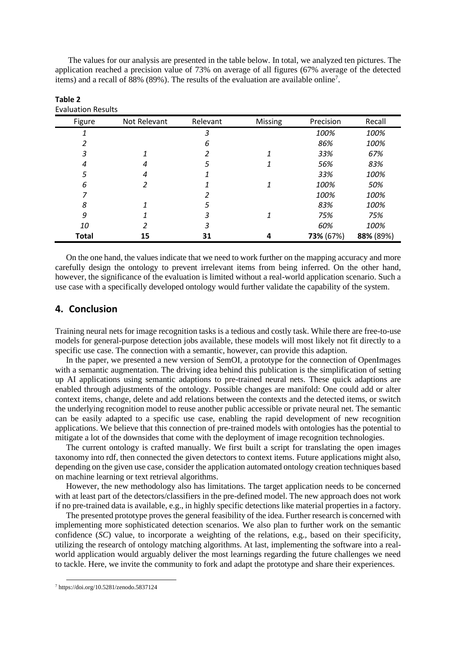The values for our analysis are presented in the table below. In total, we analyzed ten pictures. The application reached a precision value of 73% on average of all figures (67% average of the detected items) and a recall of 88% (89%). The results of the evaluation are available online<sup>7</sup>.

| Figure       | Not Relevant | Relevant | Missing | Precision | Recall    |
|--------------|--------------|----------|---------|-----------|-----------|
|              |              | 3        |         | 100%      | 100%      |
| 2            |              | 6        |         | 86%       | 100%      |
| 3            |              |          |         | 33%       | 67%       |
| 4            | 4            | 5        | 1       | 56%       | 83%       |
| 5            | 4            | 1        |         | 33%       | 100%      |
| 6            |              |          | 1       | 100%      | 50%       |
| 7            |              |          |         | 100%      | 100%      |
| 8            |              | 5        |         | 83%       | 100%      |
| 9            |              | 3        | 1       | 75%       | 75%       |
| 10           | 2            | 3        |         | 60%       | 100%      |
| <b>Total</b> | 15           | 31       | 4       | 73% (67%) | 88% (89%) |

**Table 2** Evaluation Results

On the one hand, the values indicate that we need to work further on the mapping accuracy and more carefully design the ontology to prevent irrelevant items from being inferred. On the other hand, however, the significance of the evaluation is limited without a real-world application scenario. Such a use case with a specifically developed ontology would further validate the capability of the system.

### **4. Conclusion**

Training neural nets for image recognition tasks is a tedious and costly task. While there are free-to-use models for general-purpose detection jobs available, these models will most likely not fit directly to a specific use case. The connection with a semantic, however, can provide this adaption.

In the paper, we presented a new version of SemOI, a prototype for the connection of OpenImages with a semantic augmentation. The driving idea behind this publication is the simplification of setting up AI applications using semantic adaptions to pre-trained neural nets. These quick adaptions are enabled through adjustments of the ontology. Possible changes are manifold: One could add or alter context items, change, delete and add relations between the contexts and the detected items, or switch the underlying recognition model to reuse another public accessible or private neural net. The semantic can be easily adapted to a specific use case, enabling the rapid development of new recognition applications. We believe that this connection of pre-trained models with ontologies has the potential to mitigate a lot of the downsides that come with the deployment of image recognition technologies.

The current ontology is crafted manually. We first built a script for translating the open images taxonomy into rdf, then connected the given detectors to context items. Future applications might also, depending on the given use case, consider the application automated ontology creation techniques based on machine learning or text retrieval algorithms.

However, the new methodology also has limitations. The target application needs to be concerned with at least part of the detectors/classifiers in the pre-defined model. The new approach does not work if no pre-trained data is available, e.g., in highly specific detections like material properties in a factory.

The presented prototype proves the general feasibility of the idea. Further research is concerned with implementing more sophisticated detection scenarios. We also plan to further work on the semantic confidence (*SC*) value, to incorporate a weighting of the relations, e.g., based on their specificity, utilizing the research of ontology matching algorithms. At last, implementing the software into a realworld application would arguably deliver the most learnings regarding the future challenges we need to tackle. Here, we invite the community to fork and adapt the prototype and share their experiences.

<sup>7</sup> https://doi.org/10.5281/zenodo.5837124